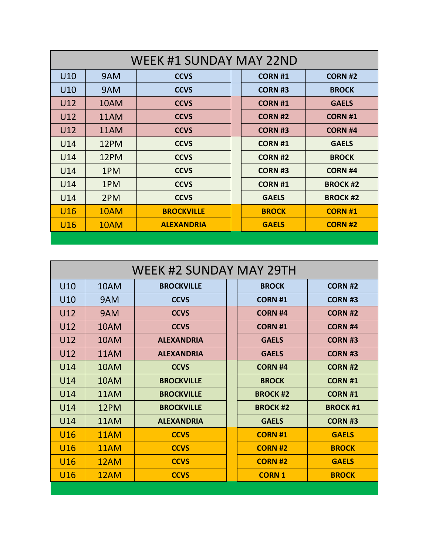| <b>WEEK #1 SUNDAY MAY 22ND</b> |      |                   |  |                |                 |  |  |  |
|--------------------------------|------|-------------------|--|----------------|-----------------|--|--|--|
| U10                            | 9AM  | <b>CCVS</b>       |  | <b>CORN #1</b> | <b>CORN #2</b>  |  |  |  |
| U10                            | 9AM  | <b>CCVS</b>       |  | <b>CORN #3</b> | <b>BROCK</b>    |  |  |  |
| U12                            | 10AM | <b>CCVS</b>       |  | <b>CORN #1</b> | <b>GAELS</b>    |  |  |  |
| U12                            | 11AM | <b>CCVS</b>       |  | <b>CORN #2</b> | <b>CORN #1</b>  |  |  |  |
| U12                            | 11AM | <b>CCVS</b>       |  | <b>CORN #3</b> | <b>CORN #4</b>  |  |  |  |
| U14                            | 12PM | <b>CCVS</b>       |  | <b>CORN #1</b> | <b>GAELS</b>    |  |  |  |
| U14                            | 12PM | <b>CCVS</b>       |  | <b>CORN #2</b> | <b>BROCK</b>    |  |  |  |
| U14                            | 1PM  | <b>CCVS</b>       |  | <b>CORN #3</b> | <b>CORN #4</b>  |  |  |  |
| U14                            | 1PM  | <b>CCVS</b>       |  | <b>CORN #1</b> | <b>BROCK #2</b> |  |  |  |
| U14                            | 2PM  | <b>CCVS</b>       |  | <b>GAELS</b>   | <b>BROCK#2</b>  |  |  |  |
| U <sub>16</sub>                | 10AM | <b>BROCKVILLE</b> |  | <b>BROCK</b>   | <b>CORN #1</b>  |  |  |  |
| U <sub>16</sub>                | 10AM | <b>ALEXANDRIA</b> |  | <b>GAELS</b>   | <b>CORN #2</b>  |  |  |  |
|                                |      |                   |  |                |                 |  |  |  |

|                 | <b>WEEK #2 SUNDAY MAY 29TH</b> |                   |  |                |                 |  |  |
|-----------------|--------------------------------|-------------------|--|----------------|-----------------|--|--|
| U10             | 10AM                           | <b>BROCKVILLE</b> |  | <b>BROCK</b>   | <b>CORN #2</b>  |  |  |
| U10             | 9AM                            | <b>CCVS</b>       |  | <b>CORN #1</b> | <b>CORN #3</b>  |  |  |
| U12             | 9AM                            | <b>CCVS</b>       |  | <b>CORN #4</b> | <b>CORN #2</b>  |  |  |
| U12             | 10AM                           | <b>CCVS</b>       |  | <b>CORN #1</b> | <b>CORN #4</b>  |  |  |
| U12             | 10AM                           | <b>ALEXANDRIA</b> |  | <b>GAELS</b>   | <b>CORN #3</b>  |  |  |
| U12             | 11AM                           | <b>ALEXANDRIA</b> |  | <b>GAELS</b>   | <b>CORN #3</b>  |  |  |
| U14             | 10AM                           | <b>CCVS</b>       |  | <b>CORN #4</b> | <b>CORN #2</b>  |  |  |
| U14             | 10AM                           | <b>BROCKVILLE</b> |  | <b>BROCK</b>   | <b>CORN #1</b>  |  |  |
| U14             | 11AM                           | <b>BROCKVILLE</b> |  | <b>BROCK#2</b> | <b>CORN #1</b>  |  |  |
| U14             | 12PM                           | <b>BROCKVILLE</b> |  | <b>BROCK#2</b> | <b>BROCK #1</b> |  |  |
| U14             | 11AM                           | <b>ALEXANDRIA</b> |  | <b>GAELS</b>   | <b>CORN #3</b>  |  |  |
| U <sub>16</sub> | 11AM                           | <b>CCVS</b>       |  | <b>CORN #1</b> | <b>GAELS</b>    |  |  |
| U16             | 11AM                           | <b>CCVS</b>       |  | <b>CORN#2</b>  | <b>BROCK</b>    |  |  |
| U16             | 12AM                           | <b>CCVS</b>       |  | <b>CORN #2</b> | <b>GAELS</b>    |  |  |
| U16             | 12AM                           | <b>CCVS</b>       |  | <b>CORN 1</b>  | <b>BROCK</b>    |  |  |
|                 |                                |                   |  |                |                 |  |  |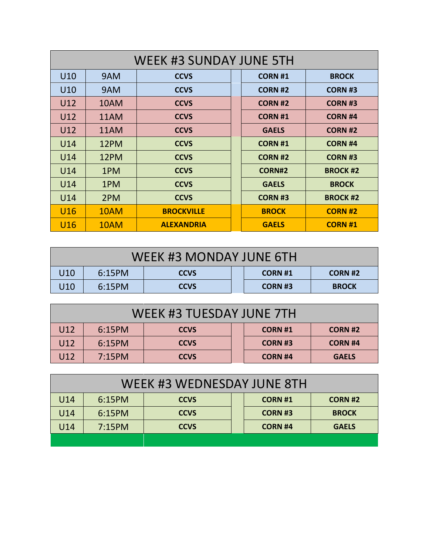| WEEK #3 SUNDAY JUNE 5TH |      |                   |  |                |                 |  |
|-------------------------|------|-------------------|--|----------------|-----------------|--|
| U10                     | 9AM  | <b>CCVS</b>       |  | <b>CORN #1</b> | <b>BROCK</b>    |  |
| U10                     | 9AM  | <b>CCVS</b>       |  | <b>CORN #2</b> | <b>CORN #3</b>  |  |
| U12                     | 10AM | <b>CCVS</b>       |  | <b>CORN #2</b> | <b>CORN#3</b>   |  |
| U12                     | 11AM | <b>CCVS</b>       |  | <b>CORN #1</b> | <b>CORN #4</b>  |  |
| U12                     | 11AM | <b>CCVS</b>       |  | <b>GAELS</b>   | <b>CORN #2</b>  |  |
| U14                     | 12PM | <b>CCVS</b>       |  | <b>CORN #1</b> | <b>CORN #4</b>  |  |
| U14                     | 12PM | <b>CCVS</b>       |  | <b>CORN #2</b> | <b>CORN #3</b>  |  |
| U14                     | 1PM  | <b>CCVS</b>       |  | <b>CORN#2</b>  | <b>BROCK #2</b> |  |
| U14                     | 1PM  | <b>CCVS</b>       |  | <b>GAELS</b>   | <b>BROCK</b>    |  |
| U14                     | 2PM  | <b>CCVS</b>       |  | <b>CORN #3</b> | <b>BROCK #2</b> |  |
| U16                     | 10AM | <b>BROCKVILLE</b> |  | <b>BROCK</b>   | <b>CORN #2</b>  |  |
| U16                     | 10AM | <b>ALEXANDRIA</b> |  | <b>GAELS</b>   | <b>CORN#1</b>   |  |

| WEEK #3 MONDAY JUNE 6TH |        |             |  |                |              |
|-------------------------|--------|-------------|--|----------------|--------------|
| U10                     | 6:15PM | <b>CCVS</b> |  | <b>CORN#1</b>  | CORN #2      |
| U10                     | 6:15PM | <b>CCVS</b> |  | <b>CORN #3</b> | <b>BROCK</b> |

| WEEK #3 TUESDAY JUNE 7TH |        |             |                |                |  |  |
|--------------------------|--------|-------------|----------------|----------------|--|--|
| U12                      | 6:15PM | <b>CCVS</b> | <b>CORN#1</b>  | <b>CORN#2</b>  |  |  |
| U12                      | 6:15PM | <b>CCVS</b> | <b>CORN#3</b>  | <b>CORN #4</b> |  |  |
| U12                      | 7:15PM | <b>CCVS</b> | <b>CORN #4</b> | <b>GAELS</b>   |  |  |

| WEEK #3 WEDNESDAY JUNE 8TH |        |             |  |                |                |  |  |
|----------------------------|--------|-------------|--|----------------|----------------|--|--|
| U14                        | 6:15PM | <b>CCVS</b> |  | <b>CORN #1</b> | <b>CORN #2</b> |  |  |
| U14                        | 6:15PM | <b>CCVS</b> |  | <b>CORN #3</b> | <b>BROCK</b>   |  |  |
| U14                        | 7:15PM | <b>CCVS</b> |  | <b>CORN #4</b> | <b>GAELS</b>   |  |  |
|                            |        |             |  |                |                |  |  |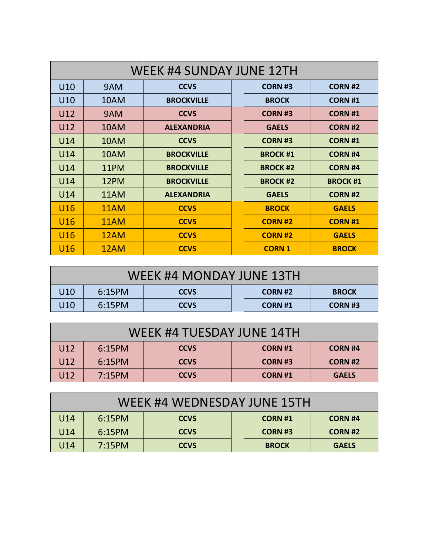| <b>WEEK #4 SUNDAY JUNE 12TH</b> |      |                   |  |                |                |  |
|---------------------------------|------|-------------------|--|----------------|----------------|--|
| U10                             | 9AM  | <b>CCVS</b>       |  | <b>CORN #3</b> | <b>CORN #2</b> |  |
| U <sub>10</sub>                 | 10AM | <b>BROCKVILLE</b> |  | <b>BROCK</b>   | <b>CORN #1</b> |  |
| U12                             | 9AM  | <b>CCVS</b>       |  | <b>CORN #3</b> | <b>CORN #1</b> |  |
| U12                             | 10AM | <b>ALEXANDRIA</b> |  | <b>GAELS</b>   | <b>CORN #2</b> |  |
| U14                             | 10AM | <b>CCVS</b>       |  | <b>CORN #3</b> | <b>CORN #1</b> |  |
| U14                             | 10AM | <b>BROCKVILLE</b> |  | <b>BROCK#1</b> | <b>CORN #4</b> |  |
| U14                             | 11PM | <b>BROCKVILLE</b> |  | <b>BROCK#2</b> | <b>CORN #4</b> |  |
| U14                             | 12PM | <b>BROCKVILLE</b> |  | <b>BROCK#2</b> | <b>BROCK#1</b> |  |
| U14                             | 11AM | <b>ALEXANDRIA</b> |  | <b>GAELS</b>   | <b>CORN #2</b> |  |
| U <sub>16</sub>                 | 11AM | <b>CCVS</b>       |  | <b>BROCK</b>   | <b>GAELS</b>   |  |
| U <sub>16</sub>                 | 11AM | <b>CCVS</b>       |  | <b>CORN #2</b> | <b>CORN #1</b> |  |
| U <sub>16</sub>                 | 12AM | <b>CCVS</b>       |  | <b>CORN #2</b> | <b>GAELS</b>   |  |
| U16                             | 12AM | <b>CCVS</b>       |  | <b>CORN 1</b>  | <b>BROCK</b>   |  |

| WEEK #4 MONDAY JUNE 13TH |        |             |  |                |              |
|--------------------------|--------|-------------|--|----------------|--------------|
| U <sub>10</sub>          | 6:15PM | <b>CCVS</b> |  | <b>CORN #2</b> | <b>BROCK</b> |
| U10                      | 6:15PM | <b>CCVS</b> |  | <b>CORN #1</b> | CORN #3      |

| WEEK #4 TUESDAY JUNE 14TH |        |             |  |               |                |  |
|---------------------------|--------|-------------|--|---------------|----------------|--|
| U12                       | 6:15PM | <b>CCVS</b> |  | <b>CORN#1</b> | <b>CORN #4</b> |  |
| U12                       | 6:15PM | <b>CCVS</b> |  | <b>CORN#3</b> | <b>CORN #2</b> |  |
| U <sub>12</sub>           | 7:15PM | <b>CCVS</b> |  | <b>CORN#1</b> | <b>GAELS</b>   |  |

| WEEK #4 WEDNESDAY JUNE 15TH |        |             |               |                |  |  |
|-----------------------------|--------|-------------|---------------|----------------|--|--|
| U14                         | 6:15PM | <b>CCVS</b> | <b>CORN#1</b> | <b>CORN #4</b> |  |  |
| U14                         | 6:15PM | <b>CCVS</b> | <b>CORN#3</b> | <b>CORN #2</b> |  |  |
| U14                         | 7:15PM | <b>CCVS</b> | <b>BROCK</b>  | <b>GAELS</b>   |  |  |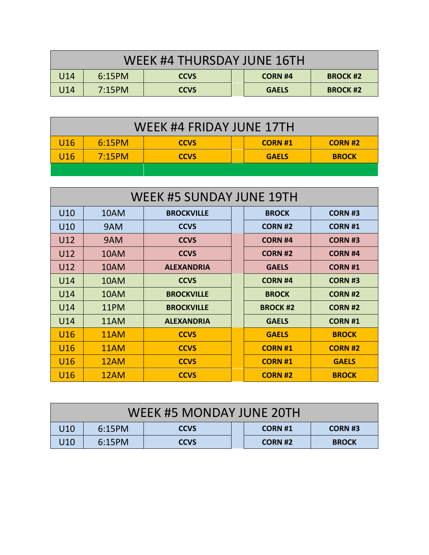| WEEK #4 THURSDAY JUNE 16TH |        |             |  |                |                 |  |
|----------------------------|--------|-------------|--|----------------|-----------------|--|
| U14                        | 6:15PM | <b>CCVS</b> |  | <b>CORN #4</b> | <b>BROCK #2</b> |  |
| U14                        | 7:15PM | <b>CCVS</b> |  | <b>GAELS</b>   | <b>BROCK #2</b> |  |

| WEEK #4 FRIDAY JUNE 17TH |        |             |               |               |  |  |  |
|--------------------------|--------|-------------|---------------|---------------|--|--|--|
| U <sub>16</sub>          | 6:15PM | <b>CCVS</b> | <b>CORN#1</b> | <b>CORN#2</b> |  |  |  |
| U <sub>16</sub>          | 7:15PM | <b>CCVS</b> | <b>GAELS</b>  | <b>BROCK</b>  |  |  |  |
|                          |        |             |               |               |  |  |  |

| <b>WEEK #5 SUNDAY JUNE 19TH</b> |      |                   |  |                |                |  |
|---------------------------------|------|-------------------|--|----------------|----------------|--|
| U10                             | 10AM | <b>BROCKVILLE</b> |  | <b>BROCK</b>   | <b>CORN#3</b>  |  |
| U <sub>10</sub>                 | 9AM  | <b>CCVS</b>       |  | <b>CORN #2</b> | <b>CORN#1</b>  |  |
| U12                             | 9AM  | <b>CCVS</b>       |  | <b>CORN #4</b> | <b>CORN #3</b> |  |
| U12                             | 10AM | <b>CCVS</b>       |  | <b>CORN #2</b> | <b>CORN #4</b> |  |
| U12                             | 10AM | <b>ALEXANDRIA</b> |  | <b>GAELS</b>   | <b>CORN #1</b> |  |
| U14                             | 10AM | <b>CCVS</b>       |  | <b>CORN #4</b> | <b>CORN #3</b> |  |
| U14                             | 10AM | <b>BROCKVILLE</b> |  | <b>BROCK</b>   | <b>CORN #2</b> |  |
| U14                             | 11PM | <b>BROCKVILLE</b> |  | <b>BROCK#2</b> | <b>CORN #2</b> |  |
| U14                             | 11AM | <b>ALEXANDRIA</b> |  | <b>GAELS</b>   | <b>CORN #1</b> |  |
| U <sub>16</sub>                 | 11AM | <b>CCVS</b>       |  | <b>GAELS</b>   | <b>BROCK</b>   |  |
| U <sub>16</sub>                 | 11AM | <b>CCVS</b>       |  | <b>CORN #1</b> | <b>CORN #2</b> |  |
| U16                             | 12AM | <b>CCVS</b>       |  | <b>CORN #1</b> | <b>GAELS</b>   |  |
| U <sub>16</sub>                 | 12AM | <b>CCVS</b>       |  | <b>CORN #2</b> | <b>BROCK</b>   |  |

| WEEK #5 MONDAY JUNE 20TH                                                     |  |  |  |  |  |  |  |
|------------------------------------------------------------------------------|--|--|--|--|--|--|--|
| U <sub>10</sub><br>6:15PM<br><b>CORN #3</b><br><b>CCVS</b><br><b>CORN #1</b> |  |  |  |  |  |  |  |
| U10<br>6:15PM<br><b>CCVS</b><br><b>CORN #2</b><br><b>BROCK</b>               |  |  |  |  |  |  |  |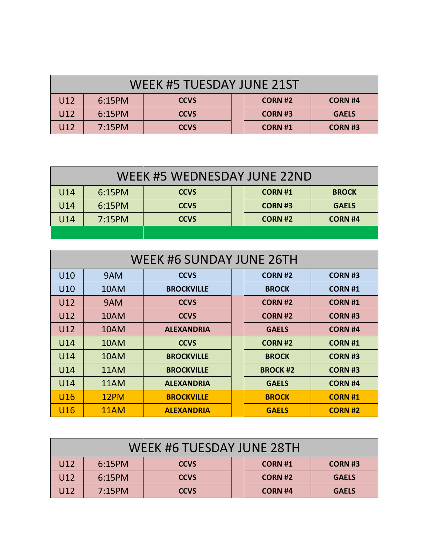| WEEK #5 TUESDAY JUNE 21ST |                                                           |             |  |                |                |  |  |
|---------------------------|-----------------------------------------------------------|-------------|--|----------------|----------------|--|--|
| U12                       | 6:15PM<br><b>CCVS</b><br><b>CORN #2</b><br><b>CORN #4</b> |             |  |                |                |  |  |
| U12                       | 6:15PM                                                    | <b>CCVS</b> |  | <b>CORN #3</b> | <b>GAELS</b>   |  |  |
| U12                       | 7:15PM                                                    | <b>CCVS</b> |  | <b>CORN#1</b>  | <b>CORN #3</b> |  |  |

| WEEK #5 WEDNESDAY JUNE 22ND                                      |        |             |  |                |              |  |  |
|------------------------------------------------------------------|--------|-------------|--|----------------|--------------|--|--|
| U14<br>6:15PM<br><b>CCVS</b><br><b>CORN #1</b><br><b>BROCK</b>   |        |             |  |                |              |  |  |
| U14                                                              | 6:15PM | <b>CCVS</b> |  | <b>CORN #3</b> | <b>GAELS</b> |  |  |
| 7:15PM<br>U14<br><b>CORN #2</b><br><b>CCVS</b><br><b>CORN #4</b> |        |             |  |                |              |  |  |
|                                                                  |        |             |  |                |              |  |  |

| WEEK #6 SUNDAY JUNE 26TH |      |                   |  |                |                |  |
|--------------------------|------|-------------------|--|----------------|----------------|--|
| U10                      | 9AM  | <b>CCVS</b>       |  | <b>CORN #2</b> | <b>CORN #3</b> |  |
| U10                      | 10AM | <b>BROCKVILLE</b> |  | <b>BROCK</b>   | <b>CORN #1</b> |  |
| U12                      | 9AM  | <b>CCVS</b>       |  | <b>CORN #2</b> | <b>CORN #1</b> |  |
| U12                      | 10AM | <b>CCVS</b>       |  | <b>CORN #2</b> | <b>CORN#3</b>  |  |
| U12                      | 10AM | <b>ALEXANDRIA</b> |  | <b>GAELS</b>   | <b>CORN #4</b> |  |
| U14                      | 10AM | <b>CCVS</b>       |  | <b>CORN #2</b> | <b>CORN #1</b> |  |
| U14                      | 10AM | <b>BROCKVILLE</b> |  | <b>BROCK</b>   | <b>CORN#3</b>  |  |
| U14                      | 11AM | <b>BROCKVILLE</b> |  | <b>BROCK#2</b> | <b>CORN #3</b> |  |
| U14                      | 11AM | <b>ALEXANDRIA</b> |  | <b>GAELS</b>   | <b>CORN #4</b> |  |
| U <sub>16</sub>          | 12PM | <b>BROCKVILLE</b> |  | <b>BROCK</b>   | <b>CORN #1</b> |  |
| U <sub>16</sub>          | 11AM | <b>ALEXANDRIA</b> |  | <b>GAELS</b>   | <b>CORN #2</b> |  |

| WEEK #6 TUESDAY JUNE 28TH                                      |        |             |  |                |              |  |
|----------------------------------------------------------------|--------|-------------|--|----------------|--------------|--|
| U12<br>6:15PM<br><b>CCVS</b><br><b>CORN#3</b><br><b>CORN#1</b> |        |             |  |                |              |  |
| U12                                                            | 6:15PM | <b>CCVS</b> |  | <b>CORN #2</b> | <b>GAELS</b> |  |
| U12                                                            | 7:15PM | <b>CCVS</b> |  | <b>CORN #4</b> | <b>GAELS</b> |  |